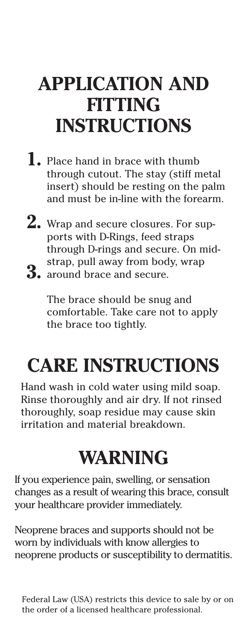## **APPLICATION AND FITTING INSTRUCTIONS**

- **1.** Place hand in brace with thumb through cutout. The stay (stiff metal insert) should be resting on the palm and must be in-line with the forearm.
- **2.** Wrap and secure closures. For sup-**3.** around brace and secure. ports with D-Rings, feed straps through D-rings and secure. On midstrap, pull away from body, wrap

The brace should be snug and comfortable. Take care not to apply the brace too tightly.

## **CARE INSTRUCTIONS**

Hand wash in cold water using mild soap. Rinse thoroughly and air dry. If not rinsed thoroughly, soap residue may cause skin irritation and material breakdown.

## **WARNING**

If you experience pain, swelling, or sensation changes as a result of wearing this brace, consult your healthcare provider immediately.

Neoprene braces and supports should not be worn by individuals with know allergies to neoprene products or susceptibility to dermatitis.